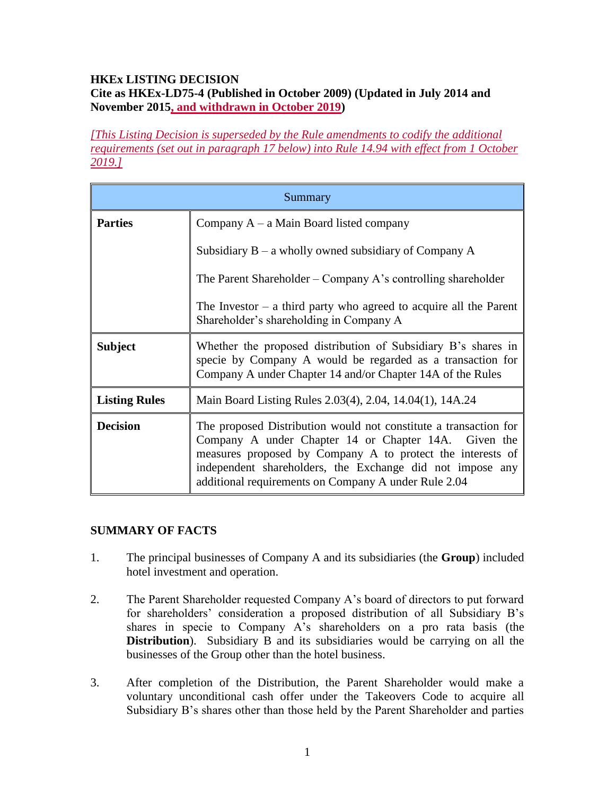### **HKEx LISTING DECISION Cite as HKEx-LD75-4 (Published in October 2009) (Updated in July 2014 and November 2015, and withdrawn in October 2019)**

*[This Listing Decision is superseded by the Rule amendments to codify the additional requirements (set out in paragraph 17 below) into Rule 14.94 with effect from 1 October 2019.]* 

| Summary              |                                                                                                                                                                                                                                                                                                             |
|----------------------|-------------------------------------------------------------------------------------------------------------------------------------------------------------------------------------------------------------------------------------------------------------------------------------------------------------|
| <b>Parties</b>       | Company $A - a$ Main Board listed company                                                                                                                                                                                                                                                                   |
|                      | Subsidiary $B - a$ wholly owned subsidiary of Company A                                                                                                                                                                                                                                                     |
|                      | The Parent Shareholder – Company A's controlling shareholder                                                                                                                                                                                                                                                |
|                      | The Investor $-$ a third party who agreed to acquire all the Parent<br>Shareholder's shareholding in Company A                                                                                                                                                                                              |
| <b>Subject</b>       | Whether the proposed distribution of Subsidiary B's shares in<br>specie by Company A would be regarded as a transaction for<br>Company A under Chapter 14 and/or Chapter 14A of the Rules                                                                                                                   |
| <b>Listing Rules</b> | Main Board Listing Rules 2.03(4), 2.04, 14.04(1), 14A.24                                                                                                                                                                                                                                                    |
| <b>Decision</b>      | The proposed Distribution would not constitute a transaction for<br>Company A under Chapter 14 or Chapter 14A. Given the<br>measures proposed by Company A to protect the interests of<br>independent shareholders, the Exchange did not impose any<br>additional requirements on Company A under Rule 2.04 |

### **SUMMARY OF FACTS**

- 1. The principal businesses of Company A and its subsidiaries (the **Group**) included hotel investment and operation.
- 2. The Parent Shareholder requested Company A's board of directors to put forward for shareholders' consideration a proposed distribution of all Subsidiary B's shares in specie to Company A's shareholders on a pro rata basis (the **Distribution**). Subsidiary B and its subsidiaries would be carrying on all the businesses of the Group other than the hotel business.
- 3. After completion of the Distribution, the Parent Shareholder would make a voluntary unconditional cash offer under the Takeovers Code to acquire all Subsidiary B's shares other than those held by the Parent Shareholder and parties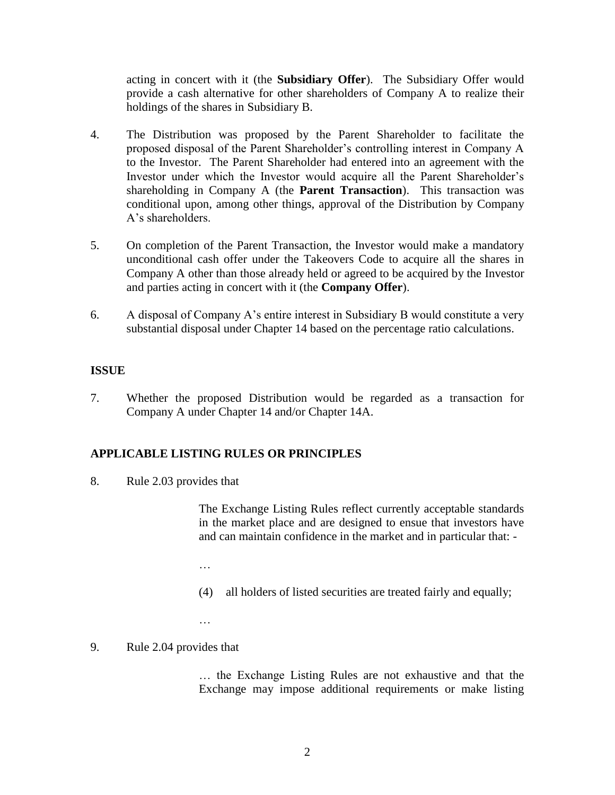acting in concert with it (the **Subsidiary Offer**). The Subsidiary Offer would provide a cash alternative for other shareholders of Company A to realize their holdings of the shares in Subsidiary B.

- 4. The Distribution was proposed by the Parent Shareholder to facilitate the proposed disposal of the Parent Shareholder's controlling interest in Company A to the Investor. The Parent Shareholder had entered into an agreement with the Investor under which the Investor would acquire all the Parent Shareholder's shareholding in Company A (the **Parent Transaction**). This transaction was conditional upon, among other things, approval of the Distribution by Company A's shareholders.
- 5. On completion of the Parent Transaction, the Investor would make a mandatory unconditional cash offer under the Takeovers Code to acquire all the shares in Company A other than those already held or agreed to be acquired by the Investor and parties acting in concert with it (the **Company Offer**).
- 6. A disposal of Company A's entire interest in Subsidiary B would constitute a very substantial disposal under Chapter 14 based on the percentage ratio calculations.

### **ISSUE**

7. Whether the proposed Distribution would be regarded as a transaction for Company A under Chapter 14 and/or Chapter 14A.

# **APPLICABLE LISTING RULES OR PRINCIPLES**

8. Rule 2.03 provides that

The Exchange Listing Rules reflect currently acceptable standards in the market place and are designed to ensue that investors have and can maintain confidence in the market and in particular that: -

- …
- (4) all holders of listed securities are treated fairly and equally;
- …

### 9. Rule 2.04 provides that

… the Exchange Listing Rules are not exhaustive and that the Exchange may impose additional requirements or make listing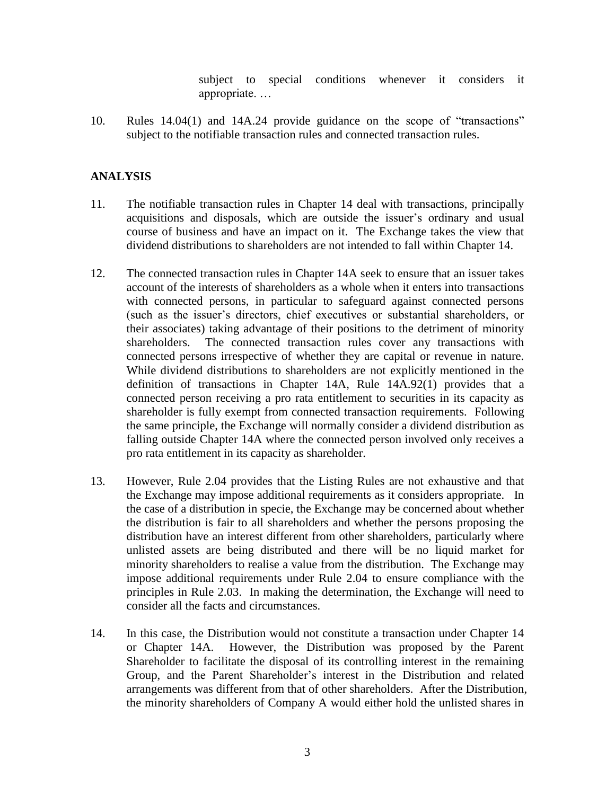subject to special conditions whenever it considers it appropriate. …

10. Rules 14.04(1) and 14A.24 provide guidance on the scope of "transactions" subject to the notifiable transaction rules and connected transaction rules.

#### **ANALYSIS**

- 11. The notifiable transaction rules in Chapter 14 deal with transactions, principally acquisitions and disposals, which are outside the issuer's ordinary and usual course of business and have an impact on it. The Exchange takes the view that dividend distributions to shareholders are not intended to fall within Chapter 14.
- 12. The connected transaction rules in Chapter 14A seek to ensure that an issuer takes account of the interests of shareholders as a whole when it enters into transactions with connected persons, in particular to safeguard against connected persons (such as the issuer's directors, chief executives or substantial shareholders, or their associates) taking advantage of their positions to the detriment of minority shareholders. The connected transaction rules cover any transactions with connected persons irrespective of whether they are capital or revenue in nature. While dividend distributions to shareholders are not explicitly mentioned in the definition of transactions in Chapter 14A, Rule 14A.92(1) provides that a connected person receiving a pro rata entitlement to securities in its capacity as shareholder is fully exempt from connected transaction requirements. Following the same principle, the Exchange will normally consider a dividend distribution as falling outside Chapter 14A where the connected person involved only receives a pro rata entitlement in its capacity as shareholder.
- 13. However, Rule 2.04 provides that the Listing Rules are not exhaustive and that the Exchange may impose additional requirements as it considers appropriate. In the case of a distribution in specie, the Exchange may be concerned about whether the distribution is fair to all shareholders and whether the persons proposing the distribution have an interest different from other shareholders, particularly where unlisted assets are being distributed and there will be no liquid market for minority shareholders to realise a value from the distribution. The Exchange may impose additional requirements under Rule 2.04 to ensure compliance with the principles in Rule 2.03. In making the determination, the Exchange will need to consider all the facts and circumstances.
- 14. In this case, the Distribution would not constitute a transaction under Chapter 14 or Chapter 14A. However, the Distribution was proposed by the Parent Shareholder to facilitate the disposal of its controlling interest in the remaining Group, and the Parent Shareholder's interest in the Distribution and related arrangements was different from that of other shareholders. After the Distribution, the minority shareholders of Company A would either hold the unlisted shares in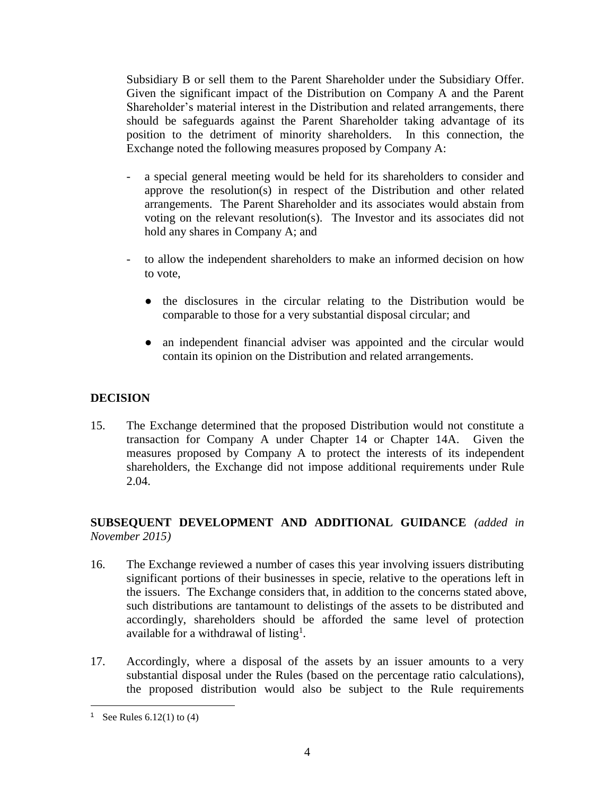Subsidiary B or sell them to the Parent Shareholder under the Subsidiary Offer. Given the significant impact of the Distribution on Company A and the Parent Shareholder's material interest in the Distribution and related arrangements, there should be safeguards against the Parent Shareholder taking advantage of its position to the detriment of minority shareholders. In this connection, the Exchange noted the following measures proposed by Company A:

- a special general meeting would be held for its shareholders to consider and approve the resolution(s) in respect of the Distribution and other related arrangements. The Parent Shareholder and its associates would abstain from voting on the relevant resolution(s). The Investor and its associates did not hold any shares in Company A; and
- to allow the independent shareholders to make an informed decision on how to vote,
	- the disclosures in the circular relating to the Distribution would be comparable to those for a very substantial disposal circular; and
	- an independent financial adviser was appointed and the circular would contain its opinion on the Distribution and related arrangements.

# **DECISION**

15. The Exchange determined that the proposed Distribution would not constitute a transaction for Company A under Chapter 14 or Chapter 14A. Given the measures proposed by Company A to protect the interests of its independent shareholders, the Exchange did not impose additional requirements under Rule 2.04.

### **SUBSEQUENT DEVELOPMENT AND ADDITIONAL GUIDANCE** *(added in November 2015)*

- 16. The Exchange reviewed a number of cases this year involving issuers distributing significant portions of their businesses in specie, relative to the operations left in the issuers. The Exchange considers that, in addition to the concerns stated above, such distributions are tantamount to delistings of the assets to be distributed and accordingly, shareholders should be afforded the same level of protection available for a withdrawal of listing<sup>1</sup>.
- 17. Accordingly, where a disposal of the assets by an issuer amounts to a very substantial disposal under the Rules (based on the percentage ratio calculations), the proposed distribution would also be subject to the Rule requirements

 $\overline{a}$ 

<sup>&</sup>lt;sup>1</sup> See Rules  $6.12(1)$  to  $(4)$